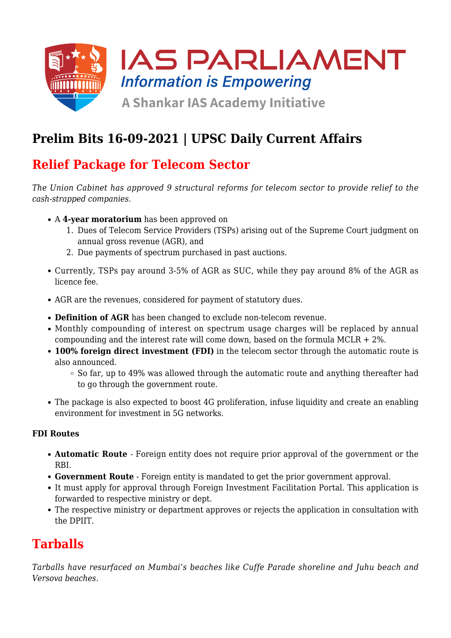

# **Prelim Bits 16-09-2021 | UPSC Daily Current Affairs**

# **Relief Package for Telecom Sector**

*The Union Cabinet has approved 9 structural reforms for telecom sector to provide relief to the cash-strapped companies.*

- A **4-year moratorium** has been approved on
	- 1. Dues of Telecom Service Providers (TSPs) arising out of the Supreme Court judgment on annual gross revenue (AGR), and
	- 2. Due payments of spectrum purchased in past auctions.
- Currently, TSPs pay around 3-5% of AGR as SUC, while they pay around 8% of the AGR as licence fee.
- AGR are the revenues, considered for payment of statutory dues.
- **Definition of AGR** has been changed to exclude non-telecom revenue.
- Monthly compounding of interest on spectrum usage charges will be replaced by annual compounding and the interest rate will come down, based on the formula  $MCLR + 2\%$ .
- **100% foreign direct investment (FDI)** in the telecom sector through the automatic route is also announced.
	- $\circ$  So far, up to 49% was allowed through the automatic route and anything thereafter had to go through the government route.
- The package is also expected to boost 4G proliferation, infuse liquidity and create an enabling environment for investment in 5G networks.

#### **FDI Routes**

- **Automatic Route**  Foreign entity does not require prior approval of the government or the RBI.
- **Government Route** Foreign entity is mandated to get the prior government approval.
- It must apply for approval through Foreign Investment Facilitation Portal. This application is forwarded to respective ministry or dept.
- The respective ministry or department approves or rejects the application in consultation with the DPIIT.

### **Tarballs**

*Tarballs have resurfaced on Mumbai's beaches like Cuffe Parade shoreline and Juhu beach and Versova beaches.*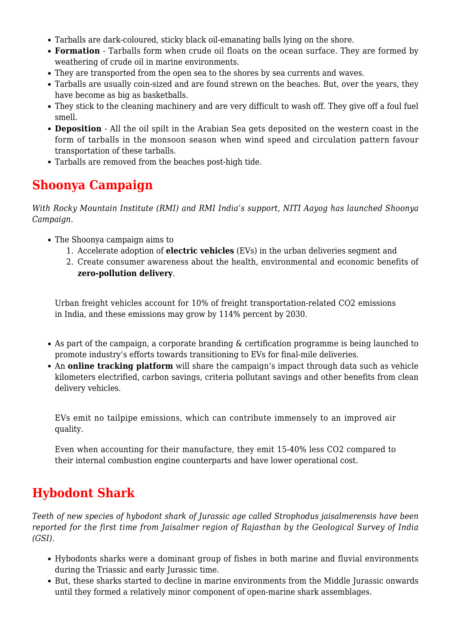- Tarballs are dark-coloured, sticky black oil-emanating balls lying on the shore.
- **Formation** Tarballs form when crude oil floats on the ocean surface. They are formed by weathering of crude oil in marine environments.
- They are transported from the open sea to the shores by sea currents and waves.
- Tarballs are usually coin-sized and are found strewn on the beaches. But, over the years, they have become as big as basketballs.
- They stick to the cleaning machinery and are very difficult to wash off. They give off a foul fuel smell.
- **Deposition** All the oil spilt in the Arabian Sea gets deposited on the western coast in the form of tarballs in the monsoon season when wind speed and circulation pattern favour transportation of these tarballs.
- Tarballs are removed from the beaches post-high tide.

# **Shoonya Campaign**

*With Rocky Mountain Institute (RMI) and RMI India's support, NITI Aayog has launched Shoonya Campaign.*

- The Shoonya campaign aims to
	- 1. Accelerate adoption of **electric vehicles** (EVs) in the urban deliveries segment and
	- 2. Create consumer awareness about the health, environmental and economic benefits of **zero-pollution delivery**.

Urban freight vehicles account for 10% of freight transportation-related CO2 emissions in India, and these emissions may grow by 114% percent by 2030.

- As part of the campaign, a corporate branding & certification programme is being launched to promote industry's efforts towards transitioning to EVs for final-mile deliveries.
- An **online tracking platform** will share the campaign's impact through data such as vehicle kilometers electrified, carbon savings, criteria pollutant savings and other benefits from clean delivery vehicles.

EVs emit no tailpipe emissions, which can contribute immensely to an improved air quality.

Even when accounting for their manufacture, they emit 15-40% less CO2 compared to their internal combustion engine counterparts and have lower operational cost.

### **Hybodont Shark**

*Teeth of new species of hybodont shark of Jurassic age called Strophodus jaisalmerensis have been reported for the first time from Jaisalmer region of Rajasthan by the Geological Survey of India (GSI).*

- Hybodonts sharks were a dominant group of fishes in both marine and fluvial environments during the Triassic and early Jurassic time.
- But, these sharks started to decline in marine environments from the Middle Jurassic onwards until they formed a relatively minor component of open-marine shark assemblages.